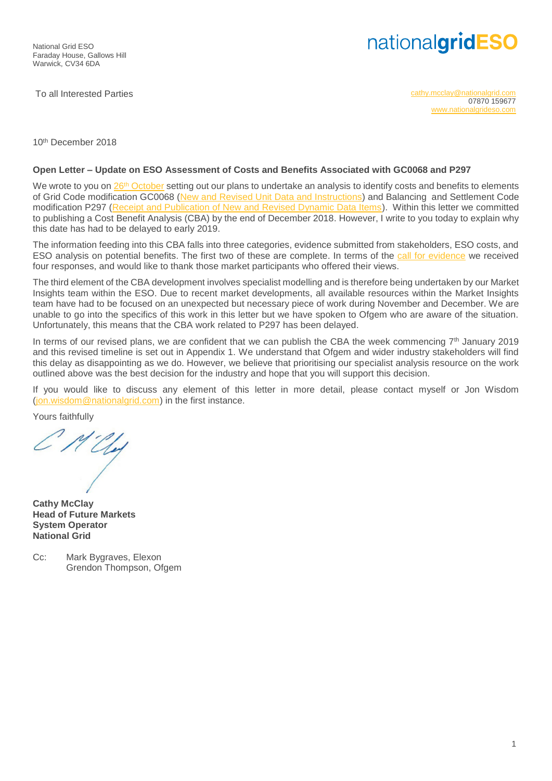## nationalgridESO

To all Interested Parties [cathy.mcclay@nationalgrid.com](mailto:cathy.mcclay@nationalgrid.com) 07870 159677 [www.nationalgrideso.com](http://www.nationalgrideso.com/)

10th December 2018

## **Open Letter – Update on ESO Assessment of Costs and Benefits Associated with GC0068 and P297**

We wrote to you on 26<sup>th</sup> [October](https://www.nationalgrideso.com/sites/eso/files/documents/GC0068-P297%20CBA%20Open%20letter%20Oct-18_Final.pdf) setting out our plans to undertake an analysis to identify costs and benefits to elements of Grid Code modification GC0068 [\(New and Revised Unit Data and Instructions\)](https://www.nationalgrideso.com/codes/grid-code/modifications/gc0068-grid-code-new-and-revised-unit-data-and-instructions) and Balancing and Settlement Code modification P297 [\(Receipt and Publication of New and Revised Dynamic Data Items\)](https://www.elexon.co.uk/mod-proposal/p297/). Within this letter we committed to publishing a Cost Benefit Analysis (CBA) by the end of December 2018. However, I write to you today to explain why this date has had to be delayed to early 2019.

The information feeding into this CBA falls into three categories, evidence submitted from stakeholders, ESO costs, and ESO analysis on potential benefits. The first two of these are complete. In terms of the [call for evidence](https://www.nationalgrideso.com/sites/eso/files/documents/P297%20Nov%2018%20call%20for%20evidence_final.pdf) we received four responses, and would like to thank those market participants who offered their views.

The third element of the CBA development involves specialist modelling and is therefore being undertaken by our Market Insights team within the ESO. Due to recent market developments, all available resources within the Market Insights team have had to be focused on an unexpected but necessary piece of work during November and December. We are unable to go into the specifics of this work in this letter but we have spoken to Ofgem who are aware of the situation. Unfortunately, this means that the CBA work related to P297 has been delayed.

In terms of our revised plans, we are confident that we can publish the CBA the week commencing 7<sup>th</sup> January 2019 and this revised timeline is set out in Appendix 1. We understand that Ofgem and wider industry stakeholders will find this delay as disappointing as we do. However, we believe that prioritising our specialist analysis resource on the work outlined above was the best decision for the industry and hope that you will support this decision.

If you would like to discuss any element of this letter in more detail, please contact myself or Jon Wisdom [\(jon.wisdom@nationalgrid.com\)](mailto:jon.wisdom@nationalgrid.com) in the first instance.

Yours faithfully

UL.

**Cathy McClay Head of Future Markets System Operator National Grid**

Cc: Mark Bygraves, Elexon Grendon Thompson, Ofgem